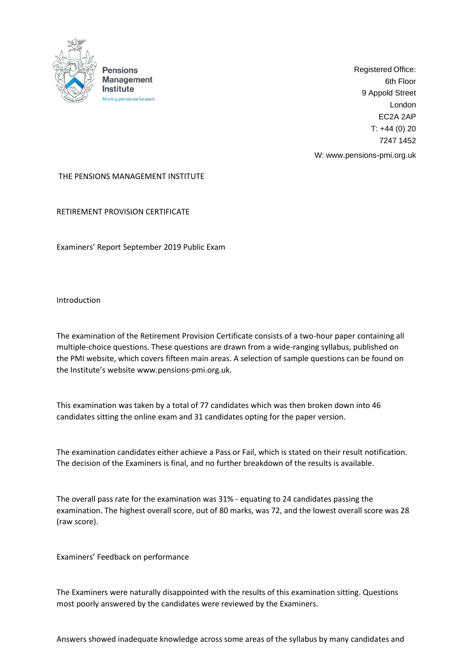

Registered Office: 6th Floor 9 Appold Street London EC2A 2AP  $T: +44(0)20$ 7247 1452

W: [www.pensions-pmi.org.uk](http://www.pensions-pmi.org.uk/)

## THE PENSIONS MANAGEMENT INSTITUTE

RETIREMENT PROVISION CERTIFICATE

Examiners' Report September 2019 Public Exam

Introduction

The examination of the Retirement Provision Certificate consists of a two-hour paper containing all multiple-choice questions. These questions are drawn from a wide-ranging syllabus, published on the PMI website, which covers fifteen main areas. A selection of sample questions can be found on the Institute's website [www.pensions-pmi.org.uk.](http://www.pensions-pmi.org.uk/)

This examination was taken by a total of 77 candidates which was then broken down into 46 candidates sitting the online exam and 31 candidates opting for the paper version.

The examination candidates either achieve a Pass or Fail, which is stated on their result notification. The decision of the Examiners is final, and no further breakdown of the results is available.

The overall pass rate for the examination was 31% - equating to 24 candidates passing the examination. The highest overall score, out of 80 marks, was 72, and the lowest overall score was 28 (raw score).

Examiners' Feedback on performance

The Examiners were naturally disappointed with the results of this examination sitting. Questions most poorly answered by the candidates were reviewed by the Examiners.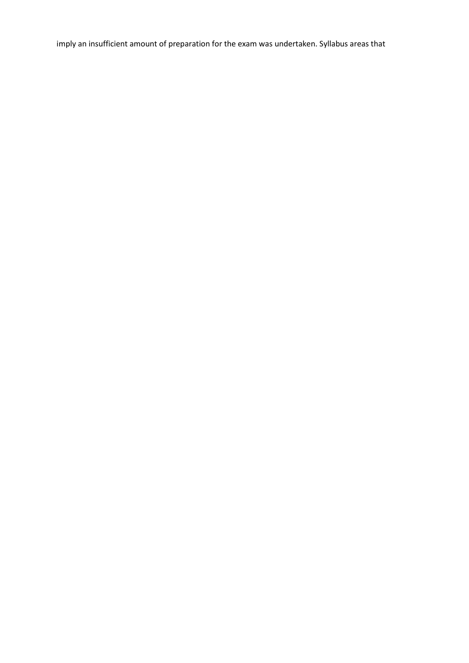imply an insufficient amount of preparation for the exam was undertaken. Syllabus areas that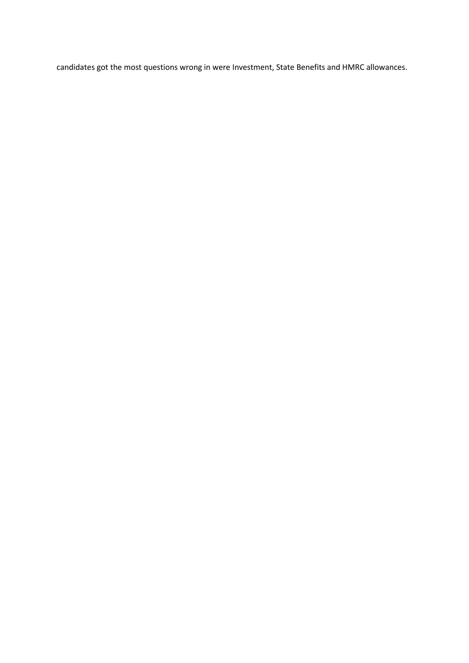candidates got the most questions wrong in were Investment, State Benefits and HMRC allowances.